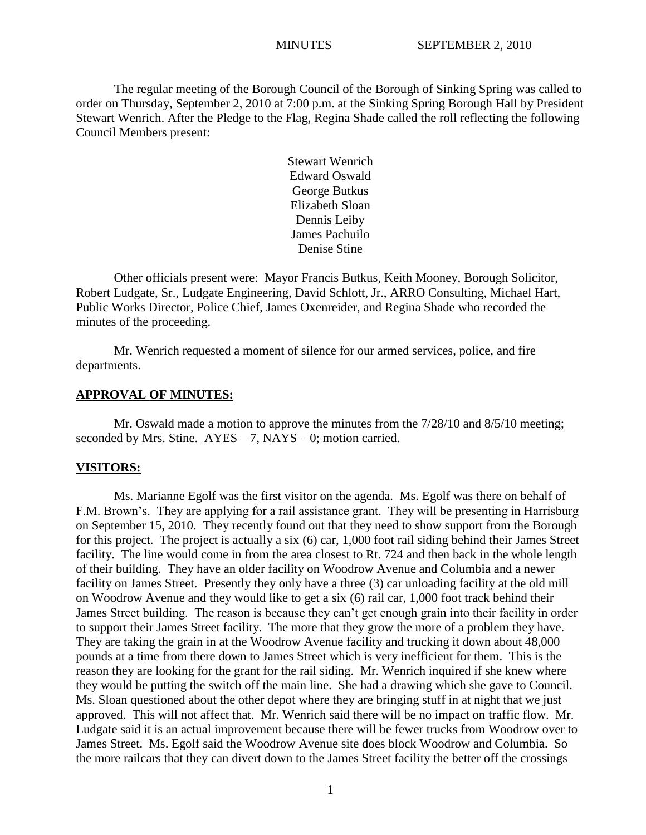The regular meeting of the Borough Council of the Borough of Sinking Spring was called to order on Thursday, September 2, 2010 at 7:00 p.m. at the Sinking Spring Borough Hall by President Stewart Wenrich. After the Pledge to the Flag, Regina Shade called the roll reflecting the following Council Members present:

> Stewart Wenrich Edward Oswald George Butkus Elizabeth Sloan Dennis Leiby James Pachuilo Denise Stine

Other officials present were: Mayor Francis Butkus, Keith Mooney, Borough Solicitor, Robert Ludgate, Sr., Ludgate Engineering, David Schlott, Jr., ARRO Consulting, Michael Hart, Public Works Director, Police Chief, James Oxenreider, and Regina Shade who recorded the minutes of the proceeding.

Mr. Wenrich requested a moment of silence for our armed services, police, and fire departments.

## **APPROVAL OF MINUTES:**

Mr. Oswald made a motion to approve the minutes from the  $7/28/10$  and  $8/5/10$  meeting; seconded by Mrs. Stine.  $AYES - 7$ , NAYS – 0; motion carried.

#### **VISITORS:**

Ms. Marianne Egolf was the first visitor on the agenda. Ms. Egolf was there on behalf of F.M. Brown's. They are applying for a rail assistance grant. They will be presenting in Harrisburg on September 15, 2010. They recently found out that they need to show support from the Borough for this project. The project is actually a six (6) car, 1,000 foot rail siding behind their James Street facility. The line would come in from the area closest to Rt. 724 and then back in the whole length of their building. They have an older facility on Woodrow Avenue and Columbia and a newer facility on James Street. Presently they only have a three (3) car unloading facility at the old mill on Woodrow Avenue and they would like to get a six (6) rail car, 1,000 foot track behind their James Street building. The reason is because they can"t get enough grain into their facility in order to support their James Street facility. The more that they grow the more of a problem they have. They are taking the grain in at the Woodrow Avenue facility and trucking it down about 48,000 pounds at a time from there down to James Street which is very inefficient for them. This is the reason they are looking for the grant for the rail siding. Mr. Wenrich inquired if she knew where they would be putting the switch off the main line. She had a drawing which she gave to Council. Ms. Sloan questioned about the other depot where they are bringing stuff in at night that we just approved. This will not affect that. Mr. Wenrich said there will be no impact on traffic flow. Mr. Ludgate said it is an actual improvement because there will be fewer trucks from Woodrow over to James Street. Ms. Egolf said the Woodrow Avenue site does block Woodrow and Columbia. So the more railcars that they can divert down to the James Street facility the better off the crossings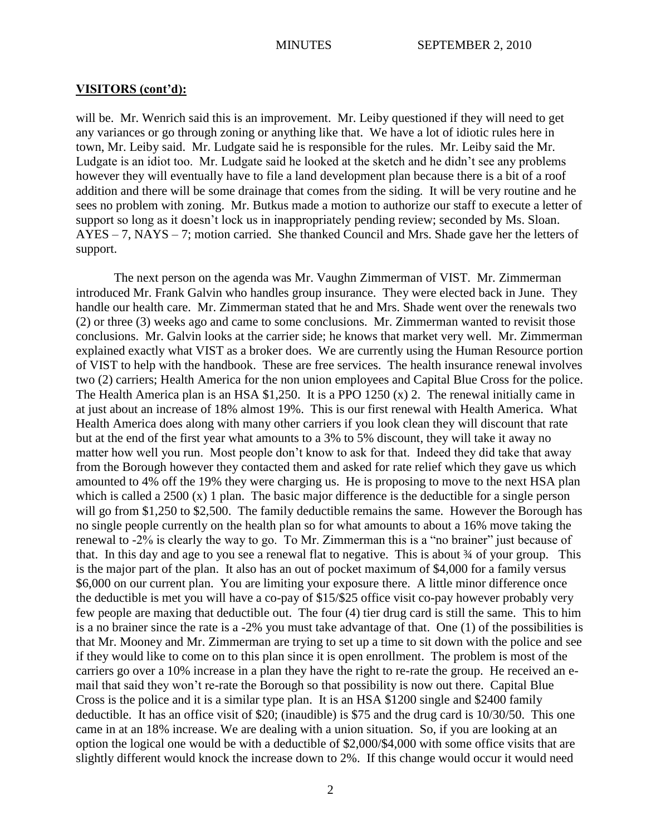will be. Mr. Wenrich said this is an improvement. Mr. Leiby questioned if they will need to get any variances or go through zoning or anything like that. We have a lot of idiotic rules here in town, Mr. Leiby said. Mr. Ludgate said he is responsible for the rules. Mr. Leiby said the Mr. Ludgate is an idiot too. Mr. Ludgate said he looked at the sketch and he didn"t see any problems however they will eventually have to file a land development plan because there is a bit of a roof addition and there will be some drainage that comes from the siding. It will be very routine and he sees no problem with zoning. Mr. Butkus made a motion to authorize our staff to execute a letter of support so long as it doesn't lock us in inappropriately pending review; seconded by Ms. Sloan. AYES – 7, NAYS – 7; motion carried. She thanked Council and Mrs. Shade gave her the letters of support.

The next person on the agenda was Mr. Vaughn Zimmerman of VIST. Mr. Zimmerman introduced Mr. Frank Galvin who handles group insurance. They were elected back in June. They handle our health care. Mr. Zimmerman stated that he and Mrs. Shade went over the renewals two (2) or three (3) weeks ago and came to some conclusions. Mr. Zimmerman wanted to revisit those conclusions. Mr. Galvin looks at the carrier side; he knows that market very well. Mr. Zimmerman explained exactly what VIST as a broker does. We are currently using the Human Resource portion of VIST to help with the handbook. These are free services. The health insurance renewal involves two (2) carriers; Health America for the non union employees and Capital Blue Cross for the police. The Health America plan is an HSA \$1,250. It is a PPO 1250 (x) 2. The renewal initially came in at just about an increase of 18% almost 19%. This is our first renewal with Health America. What Health America does along with many other carriers if you look clean they will discount that rate but at the end of the first year what amounts to a 3% to 5% discount, they will take it away no matter how well you run. Most people don't know to ask for that. Indeed they did take that away from the Borough however they contacted them and asked for rate relief which they gave us which amounted to 4% off the 19% they were charging us. He is proposing to move to the next HSA plan which is called a 2500 (x) 1 plan. The basic major difference is the deductible for a single person will go from \$1,250 to \$2,500. The family deductible remains the same. However the Borough has no single people currently on the health plan so for what amounts to about a 16% move taking the renewal to -2% is clearly the way to go. To Mr. Zimmerman this is a "no brainer" just because of that. In this day and age to you see a renewal flat to negative. This is about  $\frac{3}{4}$  of your group. This is the major part of the plan. It also has an out of pocket maximum of \$4,000 for a family versus \$6,000 on our current plan. You are limiting your exposure there. A little minor difference once the deductible is met you will have a co-pay of \$15/\$25 office visit co-pay however probably very few people are maxing that deductible out. The four (4) tier drug card is still the same. This to him is a no brainer since the rate is a -2% you must take advantage of that. One (1) of the possibilities is that Mr. Mooney and Mr. Zimmerman are trying to set up a time to sit down with the police and see if they would like to come on to this plan since it is open enrollment. The problem is most of the carriers go over a 10% increase in a plan they have the right to re-rate the group. He received an email that said they won"t re-rate the Borough so that possibility is now out there. Capital Blue Cross is the police and it is a similar type plan. It is an HSA \$1200 single and \$2400 family deductible. It has an office visit of \$20; (inaudible) is \$75 and the drug card is 10/30/50. This one came in at an 18% increase. We are dealing with a union situation. So, if you are looking at an option the logical one would be with a deductible of \$2,000/\$4,000 with some office visits that are slightly different would knock the increase down to 2%. If this change would occur it would need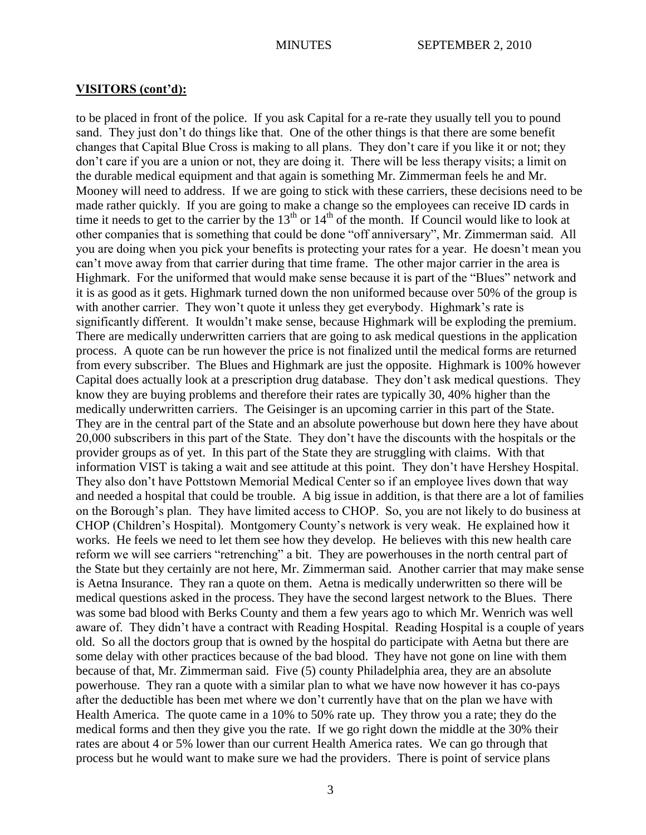to be placed in front of the police. If you ask Capital for a re-rate they usually tell you to pound sand. They just don't do things like that. One of the other things is that there are some benefit changes that Capital Blue Cross is making to all plans. They don"t care if you like it or not; they don"t care if you are a union or not, they are doing it. There will be less therapy visits; a limit on the durable medical equipment and that again is something Mr. Zimmerman feels he and Mr. Mooney will need to address. If we are going to stick with these carriers, these decisions need to be made rather quickly. If you are going to make a change so the employees can receive ID cards in time it needs to get to the carrier by the  $13<sup>th</sup>$  or  $14<sup>th</sup>$  of the month. If Council would like to look at other companies that is something that could be done "off anniversary", Mr. Zimmerman said. All you are doing when you pick your benefits is protecting your rates for a year. He doesn"t mean you can"t move away from that carrier during that time frame. The other major carrier in the area is Highmark. For the uniformed that would make sense because it is part of the "Blues" network and it is as good as it gets. Highmark turned down the non uniformed because over 50% of the group is with another carrier. They won't quote it unless they get everybody. Highmark's rate is significantly different. It wouldn"t make sense, because Highmark will be exploding the premium. There are medically underwritten carriers that are going to ask medical questions in the application process. A quote can be run however the price is not finalized until the medical forms are returned from every subscriber. The Blues and Highmark are just the opposite. Highmark is 100% however Capital does actually look at a prescription drug database. They don"t ask medical questions. They know they are buying problems and therefore their rates are typically 30, 40% higher than the medically underwritten carriers. The Geisinger is an upcoming carrier in this part of the State. They are in the central part of the State and an absolute powerhouse but down here they have about 20,000 subscribers in this part of the State. They don"t have the discounts with the hospitals or the provider groups as of yet. In this part of the State they are struggling with claims. With that information VIST is taking a wait and see attitude at this point. They don"t have Hershey Hospital. They also don"t have Pottstown Memorial Medical Center so if an employee lives down that way and needed a hospital that could be trouble. A big issue in addition, is that there are a lot of families on the Borough"s plan. They have limited access to CHOP. So, you are not likely to do business at CHOP (Children"s Hospital). Montgomery County"s network is very weak. He explained how it works. He feels we need to let them see how they develop. He believes with this new health care reform we will see carriers "retrenching" a bit. They are powerhouses in the north central part of the State but they certainly are not here, Mr. Zimmerman said. Another carrier that may make sense is Aetna Insurance. They ran a quote on them. Aetna is medically underwritten so there will be medical questions asked in the process. They have the second largest network to the Blues. There was some bad blood with Berks County and them a few years ago to which Mr. Wenrich was well aware of. They didn"t have a contract with Reading Hospital. Reading Hospital is a couple of years old. So all the doctors group that is owned by the hospital do participate with Aetna but there are some delay with other practices because of the bad blood. They have not gone on line with them because of that, Mr. Zimmerman said. Five (5) county Philadelphia area, they are an absolute powerhouse. They ran a quote with a similar plan to what we have now however it has co-pays after the deductible has been met where we don"t currently have that on the plan we have with Health America. The quote came in a 10% to 50% rate up. They throw you a rate; they do the medical forms and then they give you the rate. If we go right down the middle at the 30% their rates are about 4 or 5% lower than our current Health America rates. We can go through that process but he would want to make sure we had the providers. There is point of service plans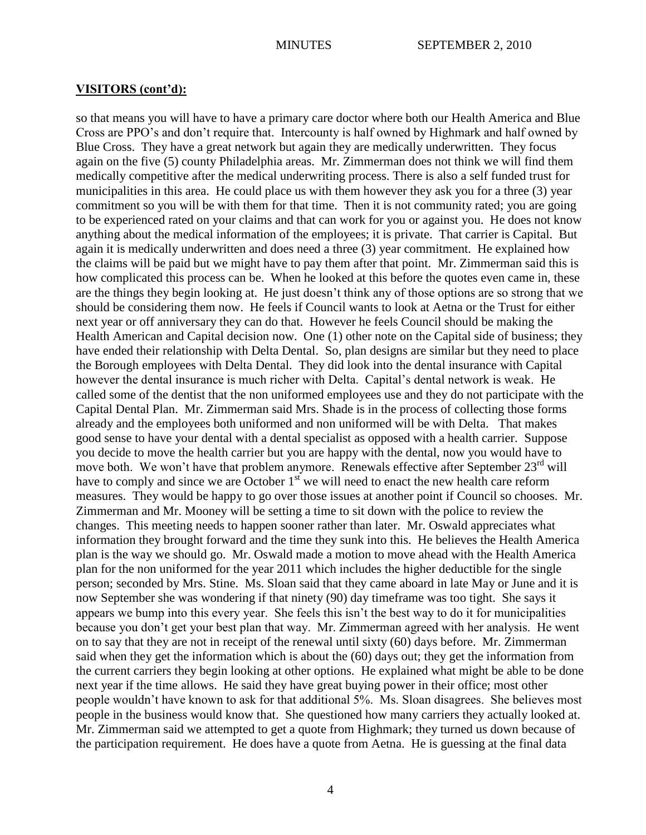so that means you will have to have a primary care doctor where both our Health America and Blue Cross are PPO"s and don"t require that. Intercounty is half owned by Highmark and half owned by Blue Cross. They have a great network but again they are medically underwritten. They focus again on the five (5) county Philadelphia areas. Mr. Zimmerman does not think we will find them medically competitive after the medical underwriting process. There is also a self funded trust for municipalities in this area. He could place us with them however they ask you for a three (3) year commitment so you will be with them for that time. Then it is not community rated; you are going to be experienced rated on your claims and that can work for you or against you. He does not know anything about the medical information of the employees; it is private. That carrier is Capital. But again it is medically underwritten and does need a three (3) year commitment. He explained how the claims will be paid but we might have to pay them after that point. Mr. Zimmerman said this is how complicated this process can be. When he looked at this before the quotes even came in, these are the things they begin looking at. He just doesn"t think any of those options are so strong that we should be considering them now. He feels if Council wants to look at Aetna or the Trust for either next year or off anniversary they can do that. However he feels Council should be making the Health American and Capital decision now. One (1) other note on the Capital side of business; they have ended their relationship with Delta Dental. So, plan designs are similar but they need to place the Borough employees with Delta Dental. They did look into the dental insurance with Capital however the dental insurance is much richer with Delta. Capital's dental network is weak. He called some of the dentist that the non uniformed employees use and they do not participate with the Capital Dental Plan. Mr. Zimmerman said Mrs. Shade is in the process of collecting those forms already and the employees both uniformed and non uniformed will be with Delta. That makes good sense to have your dental with a dental specialist as opposed with a health carrier. Suppose you decide to move the health carrier but you are happy with the dental, now you would have to move both. We won't have that problem anymore. Renewals effective after September 23<sup>rd</sup> will have to comply and since we are October  $1<sup>st</sup>$  we will need to enact the new health care reform measures. They would be happy to go over those issues at another point if Council so chooses. Mr. Zimmerman and Mr. Mooney will be setting a time to sit down with the police to review the changes. This meeting needs to happen sooner rather than later. Mr. Oswald appreciates what information they brought forward and the time they sunk into this. He believes the Health America plan is the way we should go. Mr. Oswald made a motion to move ahead with the Health America plan for the non uniformed for the year 2011 which includes the higher deductible for the single person; seconded by Mrs. Stine. Ms. Sloan said that they came aboard in late May or June and it is now September she was wondering if that ninety (90) day timeframe was too tight. She says it appears we bump into this every year. She feels this isn"t the best way to do it for municipalities because you don"t get your best plan that way. Mr. Zimmerman agreed with her analysis. He went on to say that they are not in receipt of the renewal until sixty (60) days before. Mr. Zimmerman said when they get the information which is about the (60) days out; they get the information from the current carriers they begin looking at other options. He explained what might be able to be done next year if the time allows. He said they have great buying power in their office; most other people wouldn"t have known to ask for that additional 5%. Ms. Sloan disagrees. She believes most people in the business would know that. She questioned how many carriers they actually looked at. Mr. Zimmerman said we attempted to get a quote from Highmark; they turned us down because of the participation requirement. He does have a quote from Aetna. He is guessing at the final data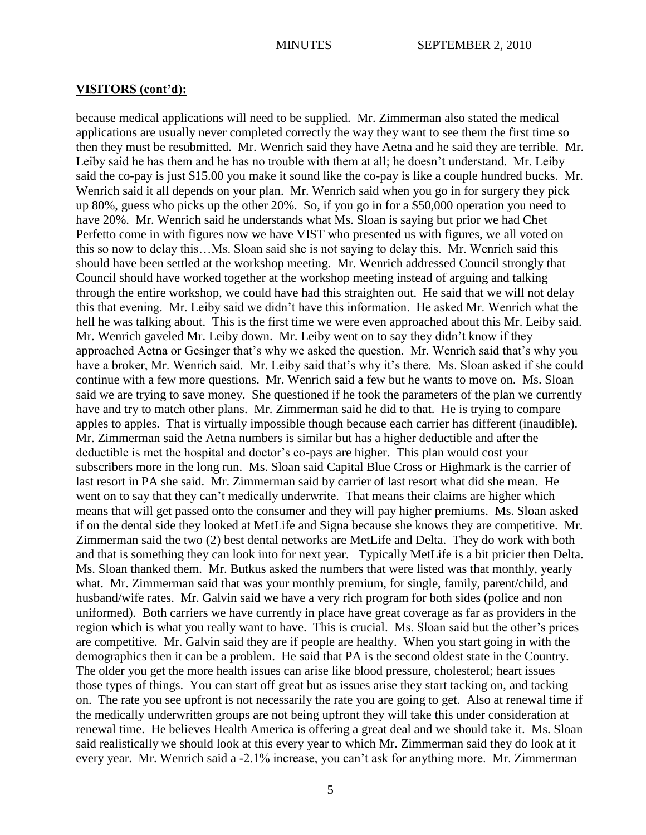because medical applications will need to be supplied. Mr. Zimmerman also stated the medical applications are usually never completed correctly the way they want to see them the first time so then they must be resubmitted. Mr. Wenrich said they have Aetna and he said they are terrible. Mr. Leiby said he has them and he has no trouble with them at all; he doesn"t understand. Mr. Leiby said the co-pay is just \$15.00 you make it sound like the co-pay is like a couple hundred bucks. Mr. Wenrich said it all depends on your plan. Mr. Wenrich said when you go in for surgery they pick up 80%, guess who picks up the other 20%. So, if you go in for a \$50,000 operation you need to have 20%. Mr. Wenrich said he understands what Ms. Sloan is saying but prior we had Chet Perfetto come in with figures now we have VIST who presented us with figures, we all voted on this so now to delay this…Ms. Sloan said she is not saying to delay this. Mr. Wenrich said this should have been settled at the workshop meeting. Mr. Wenrich addressed Council strongly that Council should have worked together at the workshop meeting instead of arguing and talking through the entire workshop, we could have had this straighten out. He said that we will not delay this that evening. Mr. Leiby said we didn"t have this information. He asked Mr. Wenrich what the hell he was talking about. This is the first time we were even approached about this Mr. Leiby said. Mr. Wenrich gaveled Mr. Leiby down. Mr. Leiby went on to say they didn"t know if they approached Aetna or Gesinger that's why we asked the question. Mr. Wenrich said that's why you have a broker, Mr. Wenrich said. Mr. Leiby said that's why it's there. Ms. Sloan asked if she could continue with a few more questions. Mr. Wenrich said a few but he wants to move on. Ms. Sloan said we are trying to save money. She questioned if he took the parameters of the plan we currently have and try to match other plans. Mr. Zimmerman said he did to that. He is trying to compare apples to apples. That is virtually impossible though because each carrier has different (inaudible). Mr. Zimmerman said the Aetna numbers is similar but has a higher deductible and after the deductible is met the hospital and doctor's co-pays are higher. This plan would cost your subscribers more in the long run. Ms. Sloan said Capital Blue Cross or Highmark is the carrier of last resort in PA she said. Mr. Zimmerman said by carrier of last resort what did she mean. He went on to say that they can"t medically underwrite. That means their claims are higher which means that will get passed onto the consumer and they will pay higher premiums. Ms. Sloan asked if on the dental side they looked at MetLife and Signa because she knows they are competitive. Mr. Zimmerman said the two (2) best dental networks are MetLife and Delta. They do work with both and that is something they can look into for next year. Typically MetLife is a bit pricier then Delta. Ms. Sloan thanked them. Mr. Butkus asked the numbers that were listed was that monthly, yearly what. Mr. Zimmerman said that was your monthly premium, for single, family, parent/child, and husband/wife rates. Mr. Galvin said we have a very rich program for both sides (police and non uniformed). Both carriers we have currently in place have great coverage as far as providers in the region which is what you really want to have. This is crucial. Ms. Sloan said but the other"s prices are competitive. Mr. Galvin said they are if people are healthy. When you start going in with the demographics then it can be a problem. He said that PA is the second oldest state in the Country. The older you get the more health issues can arise like blood pressure, cholesterol; heart issues those types of things. You can start off great but as issues arise they start tacking on, and tacking on. The rate you see upfront is not necessarily the rate you are going to get. Also at renewal time if the medically underwritten groups are not being upfront they will take this under consideration at renewal time. He believes Health America is offering a great deal and we should take it. Ms. Sloan said realistically we should look at this every year to which Mr. Zimmerman said they do look at it every year. Mr. Wenrich said a -2.1% increase, you can"t ask for anything more. Mr. Zimmerman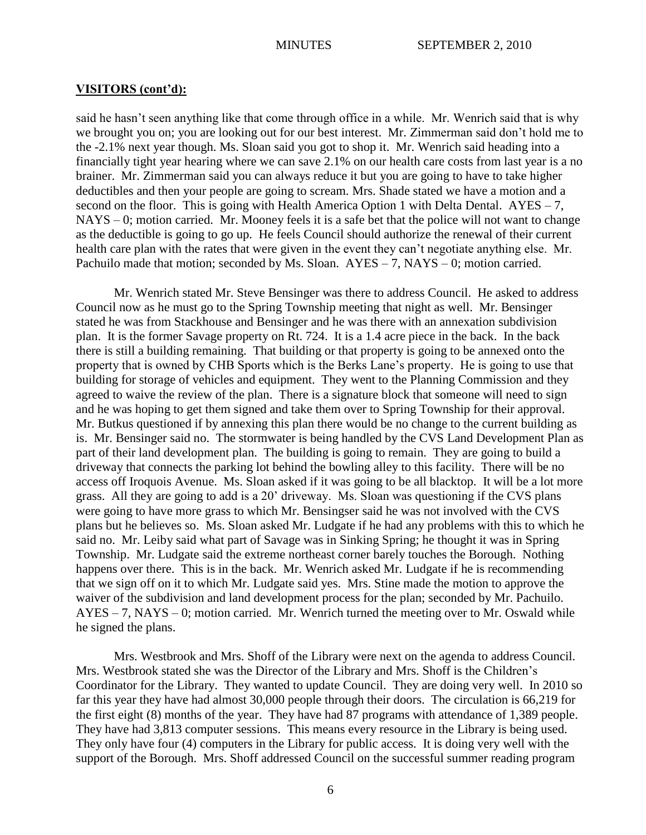said he hasn"t seen anything like that come through office in a while. Mr. Wenrich said that is why we brought you on; you are looking out for our best interest. Mr. Zimmerman said don"t hold me to the -2.1% next year though. Ms. Sloan said you got to shop it. Mr. Wenrich said heading into a financially tight year hearing where we can save 2.1% on our health care costs from last year is a no brainer. Mr. Zimmerman said you can always reduce it but you are going to have to take higher deductibles and then your people are going to scream. Mrs. Shade stated we have a motion and a second on the floor. This is going with Health America Option 1 with Delta Dental.  $AYES - 7$ , NAYS – 0; motion carried. Mr. Mooney feels it is a safe bet that the police will not want to change as the deductible is going to go up. He feels Council should authorize the renewal of their current health care plan with the rates that were given in the event they can't negotiate anything else. Mr. Pachuilo made that motion; seconded by Ms. Sloan.  $AYES - 7$ ,  $NAYS - 0$ ; motion carried.

Mr. Wenrich stated Mr. Steve Bensinger was there to address Council. He asked to address Council now as he must go to the Spring Township meeting that night as well. Mr. Bensinger stated he was from Stackhouse and Bensinger and he was there with an annexation subdivision plan. It is the former Savage property on Rt. 724. It is a 1.4 acre piece in the back. In the back there is still a building remaining. That building or that property is going to be annexed onto the property that is owned by CHB Sports which is the Berks Lane"s property. He is going to use that building for storage of vehicles and equipment. They went to the Planning Commission and they agreed to waive the review of the plan. There is a signature block that someone will need to sign and he was hoping to get them signed and take them over to Spring Township for their approval. Mr. Butkus questioned if by annexing this plan there would be no change to the current building as is. Mr. Bensinger said no. The stormwater is being handled by the CVS Land Development Plan as part of their land development plan. The building is going to remain. They are going to build a driveway that connects the parking lot behind the bowling alley to this facility. There will be no access off Iroquois Avenue. Ms. Sloan asked if it was going to be all blacktop. It will be a lot more grass. All they are going to add is a 20" driveway. Ms. Sloan was questioning if the CVS plans were going to have more grass to which Mr. Bensingser said he was not involved with the CVS plans but he believes so. Ms. Sloan asked Mr. Ludgate if he had any problems with this to which he said no. Mr. Leiby said what part of Savage was in Sinking Spring; he thought it was in Spring Township. Mr. Ludgate said the extreme northeast corner barely touches the Borough. Nothing happens over there. This is in the back. Mr. Wenrich asked Mr. Ludgate if he is recommending that we sign off on it to which Mr. Ludgate said yes. Mrs. Stine made the motion to approve the waiver of the subdivision and land development process for the plan; seconded by Mr. Pachuilo. AYES – 7, NAYS – 0; motion carried. Mr. Wenrich turned the meeting over to Mr. Oswald while he signed the plans.

Mrs. Westbrook and Mrs. Shoff of the Library were next on the agenda to address Council. Mrs. Westbrook stated she was the Director of the Library and Mrs. Shoff is the Children"s Coordinator for the Library. They wanted to update Council. They are doing very well. In 2010 so far this year they have had almost 30,000 people through their doors. The circulation is 66,219 for the first eight (8) months of the year. They have had 87 programs with attendance of 1,389 people. They have had 3,813 computer sessions. This means every resource in the Library is being used. They only have four (4) computers in the Library for public access. It is doing very well with the support of the Borough. Mrs. Shoff addressed Council on the successful summer reading program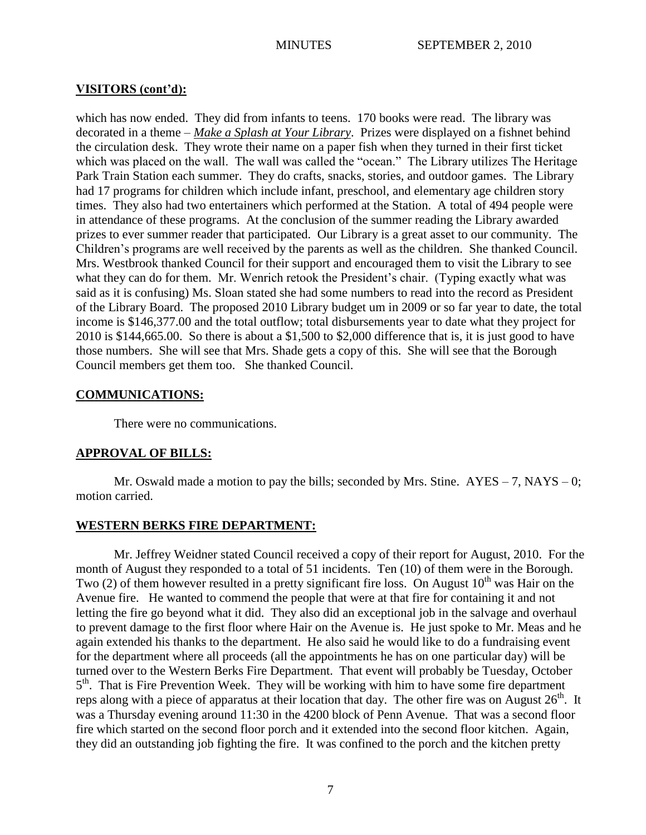which has now ended. They did from infants to teens. 170 books were read. The library was decorated in a theme – *Make a Splash at Your Library*. Prizes were displayed on a fishnet behind the circulation desk. They wrote their name on a paper fish when they turned in their first ticket which was placed on the wall. The wall was called the "ocean." The Library utilizes The Heritage Park Train Station each summer. They do crafts, snacks, stories, and outdoor games. The Library had 17 programs for children which include infant, preschool, and elementary age children story times. They also had two entertainers which performed at the Station. A total of 494 people were in attendance of these programs. At the conclusion of the summer reading the Library awarded prizes to ever summer reader that participated. Our Library is a great asset to our community. The Children"s programs are well received by the parents as well as the children. She thanked Council. Mrs. Westbrook thanked Council for their support and encouraged them to visit the Library to see what they can do for them. Mr. Wenrich retook the President's chair. (Typing exactly what was said as it is confusing) Ms. Sloan stated she had some numbers to read into the record as President of the Library Board. The proposed 2010 Library budget um in 2009 or so far year to date, the total income is \$146,377.00 and the total outflow; total disbursements year to date what they project for 2010 is \$144,665.00. So there is about a \$1,500 to \$2,000 difference that is, it is just good to have those numbers. She will see that Mrs. Shade gets a copy of this. She will see that the Borough Council members get them too. She thanked Council.

# **COMMUNICATIONS:**

There were no communications.

# **APPROVAL OF BILLS:**

Mr. Oswald made a motion to pay the bills; seconded by Mrs. Stine.  $AYES - 7$ ,  $NAYS - 0$ ; motion carried.

## **WESTERN BERKS FIRE DEPARTMENT:**

Mr. Jeffrey Weidner stated Council received a copy of their report for August, 2010. For the month of August they responded to a total of 51 incidents. Ten (10) of them were in the Borough. Two (2) of them however resulted in a pretty significant fire loss. On August  $10<sup>th</sup>$  was Hair on the Avenue fire. He wanted to commend the people that were at that fire for containing it and not letting the fire go beyond what it did. They also did an exceptional job in the salvage and overhaul to prevent damage to the first floor where Hair on the Avenue is. He just spoke to Mr. Meas and he again extended his thanks to the department. He also said he would like to do a fundraising event for the department where all proceeds (all the appointments he has on one particular day) will be turned over to the Western Berks Fire Department. That event will probably be Tuesday, October 5<sup>th</sup>. That is Fire Prevention Week. They will be working with him to have some fire department reps along with a piece of apparatus at their location that day. The other fire was on August  $26<sup>th</sup>$ . It was a Thursday evening around 11:30 in the 4200 block of Penn Avenue. That was a second floor fire which started on the second floor porch and it extended into the second floor kitchen. Again, they did an outstanding job fighting the fire. It was confined to the porch and the kitchen pretty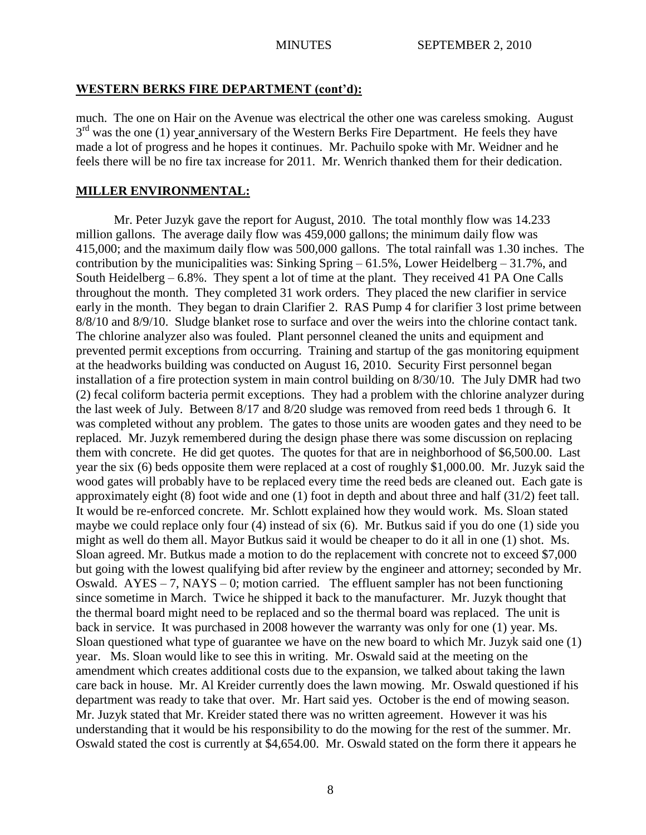# **WESTERN BERKS FIRE DEPARTMENT (cont'd):**

much. The one on Hair on the Avenue was electrical the other one was careless smoking. August  $3<sup>rd</sup>$  was the one (1) year anniversary of the Western Berks Fire Department. He feels they have made a lot of progress and he hopes it continues. Mr. Pachuilo spoke with Mr. Weidner and he feels there will be no fire tax increase for 2011. Mr. Wenrich thanked them for their dedication.

# **MILLER ENVIRONMENTAL:**

Mr. Peter Juzyk gave the report for August, 2010. The total monthly flow was 14.233 million gallons. The average daily flow was 459,000 gallons; the minimum daily flow was 415,000; and the maximum daily flow was 500,000 gallons. The total rainfall was 1.30 inches. The contribution by the municipalities was: Sinking Spring – 61.5%, Lower Heidelberg – 31.7%, and South Heidelberg – 6.8%. They spent a lot of time at the plant. They received 41 PA One Calls throughout the month. They completed 31 work orders. They placed the new clarifier in service early in the month. They began to drain Clarifier 2. RAS Pump 4 for clarifier 3 lost prime between 8/8/10 and 8/9/10. Sludge blanket rose to surface and over the weirs into the chlorine contact tank. The chlorine analyzer also was fouled. Plant personnel cleaned the units and equipment and prevented permit exceptions from occurring. Training and startup of the gas monitoring equipment at the headworks building was conducted on August 16, 2010. Security First personnel began installation of a fire protection system in main control building on 8/30/10. The July DMR had two (2) fecal coliform bacteria permit exceptions. They had a problem with the chlorine analyzer during the last week of July. Between 8/17 and 8/20 sludge was removed from reed beds 1 through 6. It was completed without any problem. The gates to those units are wooden gates and they need to be replaced. Mr. Juzyk remembered during the design phase there was some discussion on replacing them with concrete. He did get quotes. The quotes for that are in neighborhood of \$6,500.00. Last year the six (6) beds opposite them were replaced at a cost of roughly \$1,000.00. Mr. Juzyk said the wood gates will probably have to be replaced every time the reed beds are cleaned out. Each gate is approximately eight (8) foot wide and one (1) foot in depth and about three and half (31/2) feet tall. It would be re-enforced concrete. Mr. Schlott explained how they would work. Ms. Sloan stated maybe we could replace only four (4) instead of six (6). Mr. Butkus said if you do one (1) side you might as well do them all. Mayor Butkus said it would be cheaper to do it all in one (1) shot. Ms. Sloan agreed. Mr. Butkus made a motion to do the replacement with concrete not to exceed \$7,000 but going with the lowest qualifying bid after review by the engineer and attorney; seconded by Mr. Oswald.  $AYES - 7$ ,  $NAYS - 0$ ; motion carried. The effluent sampler has not been functioning since sometime in March. Twice he shipped it back to the manufacturer. Mr. Juzyk thought that the thermal board might need to be replaced and so the thermal board was replaced. The unit is back in service. It was purchased in 2008 however the warranty was only for one (1) year. Ms. Sloan questioned what type of guarantee we have on the new board to which Mr. Juzyk said one (1) year. Ms. Sloan would like to see this in writing. Mr. Oswald said at the meeting on the amendment which creates additional costs due to the expansion, we talked about taking the lawn care back in house. Mr. Al Kreider currently does the lawn mowing. Mr. Oswald questioned if his department was ready to take that over. Mr. Hart said yes. October is the end of mowing season. Mr. Juzyk stated that Mr. Kreider stated there was no written agreement. However it was his understanding that it would be his responsibility to do the mowing for the rest of the summer. Mr. Oswald stated the cost is currently at \$4,654.00. Mr. Oswald stated on the form there it appears he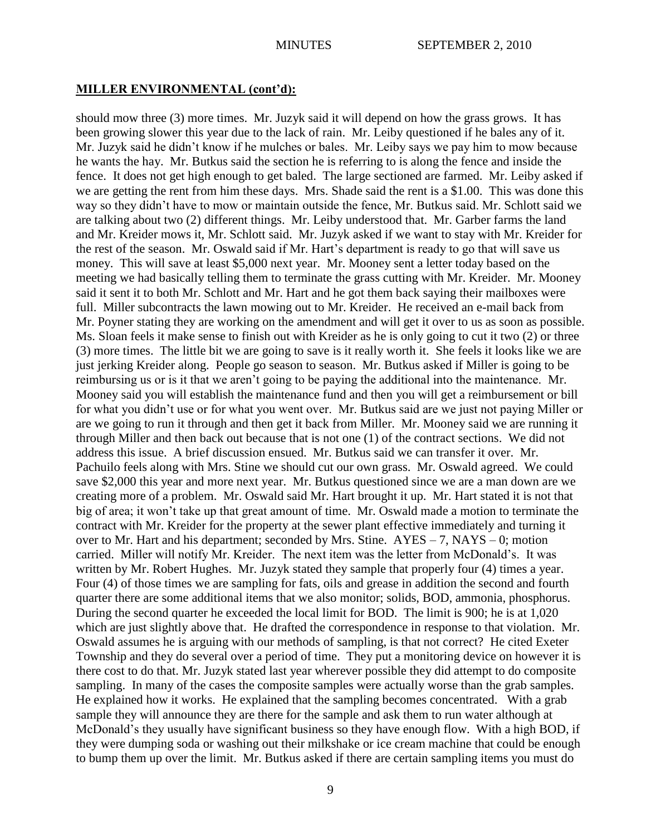should mow three (3) more times. Mr. Juzyk said it will depend on how the grass grows. It has been growing slower this year due to the lack of rain. Mr. Leiby questioned if he bales any of it. Mr. Juzyk said he didn"t know if he mulches or bales. Mr. Leiby says we pay him to mow because he wants the hay. Mr. Butkus said the section he is referring to is along the fence and inside the fence. It does not get high enough to get baled. The large sectioned are farmed. Mr. Leiby asked if we are getting the rent from him these days. Mrs. Shade said the rent is a \$1.00. This was done this way so they didn"t have to mow or maintain outside the fence, Mr. Butkus said. Mr. Schlott said we are talking about two (2) different things. Mr. Leiby understood that. Mr. Garber farms the land and Mr. Kreider mows it, Mr. Schlott said. Mr. Juzyk asked if we want to stay with Mr. Kreider for the rest of the season. Mr. Oswald said if Mr. Hart"s department is ready to go that will save us money. This will save at least \$5,000 next year. Mr. Mooney sent a letter today based on the meeting we had basically telling them to terminate the grass cutting with Mr. Kreider. Mr. Mooney said it sent it to both Mr. Schlott and Mr. Hart and he got them back saying their mailboxes were full. Miller subcontracts the lawn mowing out to Mr. Kreider. He received an e-mail back from Mr. Poyner stating they are working on the amendment and will get it over to us as soon as possible. Ms. Sloan feels it make sense to finish out with Kreider as he is only going to cut it two (2) or three (3) more times. The little bit we are going to save is it really worth it. She feels it looks like we are just jerking Kreider along. People go season to season. Mr. Butkus asked if Miller is going to be reimbursing us or is it that we aren"t going to be paying the additional into the maintenance. Mr. Mooney said you will establish the maintenance fund and then you will get a reimbursement or bill for what you didn"t use or for what you went over. Mr. Butkus said are we just not paying Miller or are we going to run it through and then get it back from Miller. Mr. Mooney said we are running it through Miller and then back out because that is not one (1) of the contract sections. We did not address this issue. A brief discussion ensued. Mr. Butkus said we can transfer it over. Mr. Pachuilo feels along with Mrs. Stine we should cut our own grass. Mr. Oswald agreed. We could save \$2,000 this year and more next year. Mr. Butkus questioned since we are a man down are we creating more of a problem. Mr. Oswald said Mr. Hart brought it up. Mr. Hart stated it is not that big of area; it won"t take up that great amount of time. Mr. Oswald made a motion to terminate the contract with Mr. Kreider for the property at the sewer plant effective immediately and turning it over to Mr. Hart and his department; seconded by Mrs. Stine. AYES – 7, NAYS – 0; motion carried. Miller will notify Mr. Kreider. The next item was the letter from McDonald"s. It was written by Mr. Robert Hughes. Mr. Juzyk stated they sample that properly four (4) times a year. Four (4) of those times we are sampling for fats, oils and grease in addition the second and fourth quarter there are some additional items that we also monitor; solids, BOD, ammonia, phosphorus. During the second quarter he exceeded the local limit for BOD. The limit is 900; he is at 1,020 which are just slightly above that. He drafted the correspondence in response to that violation. Mr. Oswald assumes he is arguing with our methods of sampling, is that not correct? He cited Exeter Township and they do several over a period of time. They put a monitoring device on however it is there cost to do that. Mr. Juzyk stated last year wherever possible they did attempt to do composite sampling. In many of the cases the composite samples were actually worse than the grab samples. He explained how it works. He explained that the sampling becomes concentrated. With a grab sample they will announce they are there for the sample and ask them to run water although at McDonald"s they usually have significant business so they have enough flow. With a high BOD, if they were dumping soda or washing out their milkshake or ice cream machine that could be enough to bump them up over the limit. Mr. Butkus asked if there are certain sampling items you must do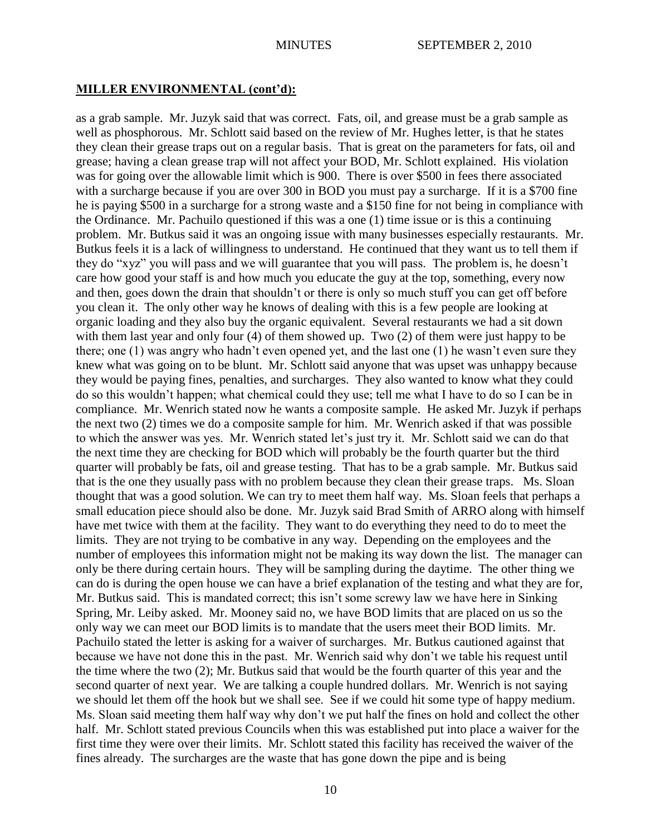as a grab sample. Mr. Juzyk said that was correct. Fats, oil, and grease must be a grab sample as well as phosphorous. Mr. Schlott said based on the review of Mr. Hughes letter, is that he states they clean their grease traps out on a regular basis. That is great on the parameters for fats, oil and grease; having a clean grease trap will not affect your BOD, Mr. Schlott explained. His violation was for going over the allowable limit which is 900. There is over \$500 in fees there associated with a surcharge because if you are over 300 in BOD you must pay a surcharge. If it is a \$700 fine he is paying \$500 in a surcharge for a strong waste and a \$150 fine for not being in compliance with the Ordinance. Mr. Pachuilo questioned if this was a one (1) time issue or is this a continuing problem. Mr. Butkus said it was an ongoing issue with many businesses especially restaurants. Mr. Butkus feels it is a lack of willingness to understand. He continued that they want us to tell them if they do "xyz" you will pass and we will guarantee that you will pass. The problem is, he doesn"t care how good your staff is and how much you educate the guy at the top, something, every now and then, goes down the drain that shouldn"t or there is only so much stuff you can get off before you clean it. The only other way he knows of dealing with this is a few people are looking at organic loading and they also buy the organic equivalent. Several restaurants we had a sit down with them last year and only four (4) of them showed up. Two (2) of them were just happy to be there; one (1) was angry who hadn"t even opened yet, and the last one (1) he wasn"t even sure they knew what was going on to be blunt. Mr. Schlott said anyone that was upset was unhappy because they would be paying fines, penalties, and surcharges. They also wanted to know what they could do so this wouldn"t happen; what chemical could they use; tell me what I have to do so I can be in compliance. Mr. Wenrich stated now he wants a composite sample. He asked Mr. Juzyk if perhaps the next two (2) times we do a composite sample for him. Mr. Wenrich asked if that was possible to which the answer was yes. Mr. Wenrich stated let"s just try it. Mr. Schlott said we can do that the next time they are checking for BOD which will probably be the fourth quarter but the third quarter will probably be fats, oil and grease testing. That has to be a grab sample. Mr. Butkus said that is the one they usually pass with no problem because they clean their grease traps. Ms. Sloan thought that was a good solution. We can try to meet them half way. Ms. Sloan feels that perhaps a small education piece should also be done. Mr. Juzyk said Brad Smith of ARRO along with himself have met twice with them at the facility. They want to do everything they need to do to meet the limits. They are not trying to be combative in any way. Depending on the employees and the number of employees this information might not be making its way down the list. The manager can only be there during certain hours. They will be sampling during the daytime. The other thing we can do is during the open house we can have a brief explanation of the testing and what they are for, Mr. Butkus said. This is mandated correct; this isn't some screwy law we have here in Sinking Spring, Mr. Leiby asked. Mr. Mooney said no, we have BOD limits that are placed on us so the only way we can meet our BOD limits is to mandate that the users meet their BOD limits. Mr. Pachuilo stated the letter is asking for a waiver of surcharges. Mr. Butkus cautioned against that because we have not done this in the past. Mr. Wenrich said why don"t we table his request until the time where the two (2); Mr. Butkus said that would be the fourth quarter of this year and the second quarter of next year. We are talking a couple hundred dollars. Mr. Wenrich is not saying we should let them off the hook but we shall see. See if we could hit some type of happy medium. Ms. Sloan said meeting them half way why don"t we put half the fines on hold and collect the other half. Mr. Schlott stated previous Councils when this was established put into place a waiver for the first time they were over their limits. Mr. Schlott stated this facility has received the waiver of the fines already. The surcharges are the waste that has gone down the pipe and is being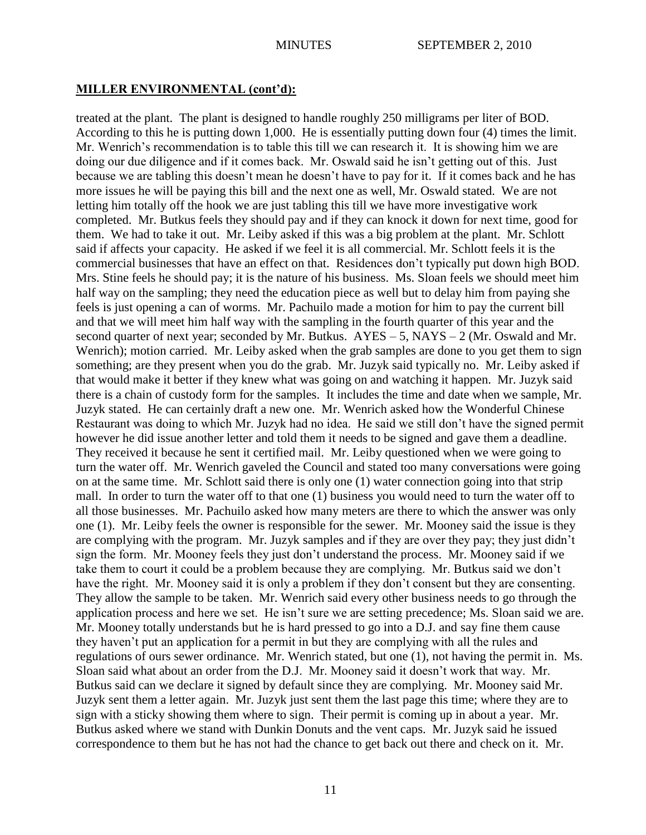treated at the plant. The plant is designed to handle roughly 250 milligrams per liter of BOD. According to this he is putting down 1,000. He is essentially putting down four (4) times the limit. Mr. Wenrich's recommendation is to table this till we can research it. It is showing him we are doing our due diligence and if it comes back. Mr. Oswald said he isn"t getting out of this. Just because we are tabling this doesn"t mean he doesn"t have to pay for it. If it comes back and he has more issues he will be paying this bill and the next one as well, Mr. Oswald stated. We are not letting him totally off the hook we are just tabling this till we have more investigative work completed. Mr. Butkus feels they should pay and if they can knock it down for next time, good for them. We had to take it out. Mr. Leiby asked if this was a big problem at the plant. Mr. Schlott said if affects your capacity. He asked if we feel it is all commercial. Mr. Schlott feels it is the commercial businesses that have an effect on that. Residences don"t typically put down high BOD. Mrs. Stine feels he should pay; it is the nature of his business. Ms. Sloan feels we should meet him half way on the sampling; they need the education piece as well but to delay him from paying she feels is just opening a can of worms. Mr. Pachuilo made a motion for him to pay the current bill and that we will meet him half way with the sampling in the fourth quarter of this year and the second quarter of next year; seconded by Mr. Butkus. AYES – 5, NAYS – 2 (Mr. Oswald and Mr. Wenrich); motion carried. Mr. Leiby asked when the grab samples are done to you get them to sign something; are they present when you do the grab. Mr. Juzyk said typically no. Mr. Leiby asked if that would make it better if they knew what was going on and watching it happen. Mr. Juzyk said there is a chain of custody form for the samples. It includes the time and date when we sample, Mr. Juzyk stated. He can certainly draft a new one. Mr. Wenrich asked how the Wonderful Chinese Restaurant was doing to which Mr. Juzyk had no idea. He said we still don"t have the signed permit however he did issue another letter and told them it needs to be signed and gave them a deadline. They received it because he sent it certified mail. Mr. Leiby questioned when we were going to turn the water off. Mr. Wenrich gaveled the Council and stated too many conversations were going on at the same time. Mr. Schlott said there is only one (1) water connection going into that strip mall. In order to turn the water off to that one (1) business you would need to turn the water off to all those businesses. Mr. Pachuilo asked how many meters are there to which the answer was only one (1). Mr. Leiby feels the owner is responsible for the sewer. Mr. Mooney said the issue is they are complying with the program. Mr. Juzyk samples and if they are over they pay; they just didn"t sign the form. Mr. Mooney feels they just don"t understand the process. Mr. Mooney said if we take them to court it could be a problem because they are complying. Mr. Butkus said we don"t have the right. Mr. Mooney said it is only a problem if they don't consent but they are consenting. They allow the sample to be taken. Mr. Wenrich said every other business needs to go through the application process and here we set. He isn"t sure we are setting precedence; Ms. Sloan said we are. Mr. Mooney totally understands but he is hard pressed to go into a D.J. and say fine them cause they haven"t put an application for a permit in but they are complying with all the rules and regulations of ours sewer ordinance. Mr. Wenrich stated, but one (1), not having the permit in. Ms. Sloan said what about an order from the D.J. Mr. Mooney said it doesn"t work that way. Mr. Butkus said can we declare it signed by default since they are complying. Mr. Mooney said Mr. Juzyk sent them a letter again. Mr. Juzyk just sent them the last page this time; where they are to sign with a sticky showing them where to sign. Their permit is coming up in about a year. Mr. Butkus asked where we stand with Dunkin Donuts and the vent caps. Mr. Juzyk said he issued correspondence to them but he has not had the chance to get back out there and check on it. Mr.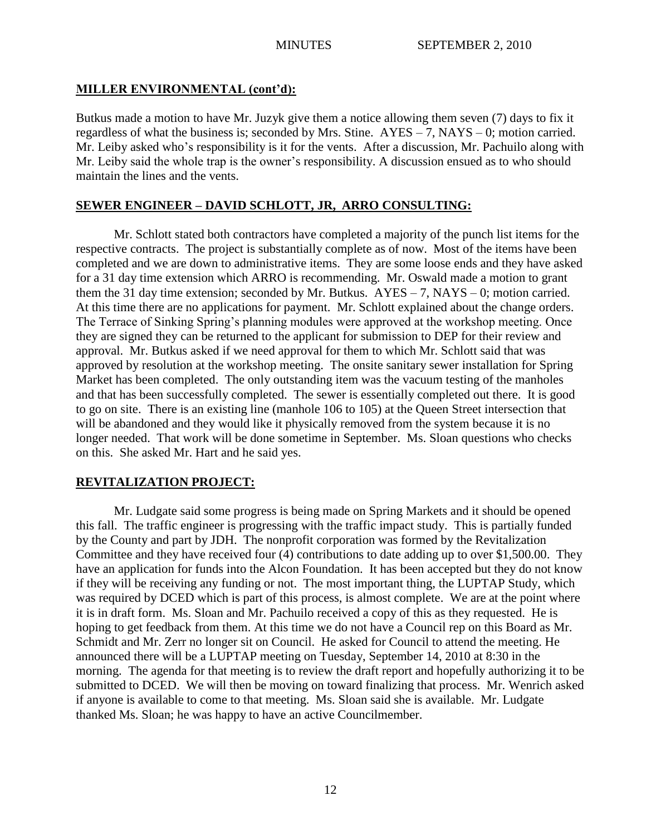Butkus made a motion to have Mr. Juzyk give them a notice allowing them seven (7) days to fix it regardless of what the business is; seconded by Mrs. Stine.  $AYES - 7$ ,  $NAYS - 0$ ; motion carried. Mr. Leiby asked who"s responsibility is it for the vents. After a discussion, Mr. Pachuilo along with Mr. Leiby said the whole trap is the owner"s responsibility. A discussion ensued as to who should maintain the lines and the vents.

# **SEWER ENGINEER – DAVID SCHLOTT, JR, ARRO CONSULTING:**

Mr. Schlott stated both contractors have completed a majority of the punch list items for the respective contracts. The project is substantially complete as of now. Most of the items have been completed and we are down to administrative items. They are some loose ends and they have asked for a 31 day time extension which ARRO is recommending. Mr. Oswald made a motion to grant them the 31 day time extension; seconded by Mr. Butkus.  $AYES - 7$ ,  $NAYS - 0$ ; motion carried. At this time there are no applications for payment. Mr. Schlott explained about the change orders. The Terrace of Sinking Spring's planning modules were approved at the workshop meeting. Once they are signed they can be returned to the applicant for submission to DEP for their review and approval. Mr. Butkus asked if we need approval for them to which Mr. Schlott said that was approved by resolution at the workshop meeting. The onsite sanitary sewer installation for Spring Market has been completed. The only outstanding item was the vacuum testing of the manholes and that has been successfully completed. The sewer is essentially completed out there. It is good to go on site. There is an existing line (manhole 106 to 105) at the Queen Street intersection that will be abandoned and they would like it physically removed from the system because it is no longer needed. That work will be done sometime in September. Ms. Sloan questions who checks on this. She asked Mr. Hart and he said yes.

# **REVITALIZATION PROJECT:**

Mr. Ludgate said some progress is being made on Spring Markets and it should be opened this fall. The traffic engineer is progressing with the traffic impact study. This is partially funded by the County and part by JDH. The nonprofit corporation was formed by the Revitalization Committee and they have received four (4) contributions to date adding up to over \$1,500.00. They have an application for funds into the Alcon Foundation. It has been accepted but they do not know if they will be receiving any funding or not. The most important thing, the LUPTAP Study, which was required by DCED which is part of this process, is almost complete. We are at the point where it is in draft form. Ms. Sloan and Mr. Pachuilo received a copy of this as they requested. He is hoping to get feedback from them. At this time we do not have a Council rep on this Board as Mr. Schmidt and Mr. Zerr no longer sit on Council. He asked for Council to attend the meeting. He announced there will be a LUPTAP meeting on Tuesday, September 14, 2010 at 8:30 in the morning. The agenda for that meeting is to review the draft report and hopefully authorizing it to be submitted to DCED. We will then be moving on toward finalizing that process. Mr. Wenrich asked if anyone is available to come to that meeting. Ms. Sloan said she is available. Mr. Ludgate thanked Ms. Sloan; he was happy to have an active Councilmember.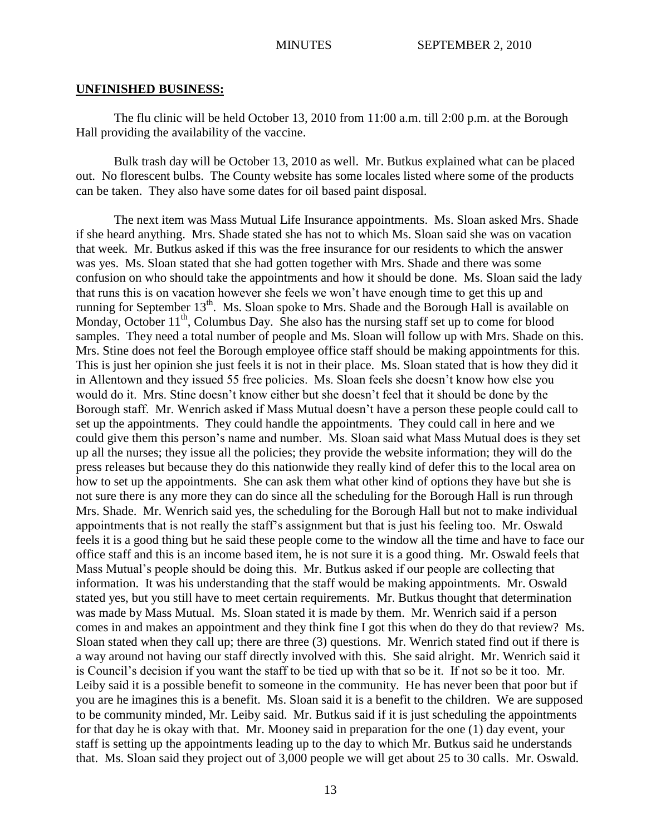#### **UNFINISHED BUSINESS:**

The flu clinic will be held October 13, 2010 from 11:00 a.m. till 2:00 p.m. at the Borough Hall providing the availability of the vaccine.

Bulk trash day will be October 13, 2010 as well. Mr. Butkus explained what can be placed out. No florescent bulbs. The County website has some locales listed where some of the products can be taken. They also have some dates for oil based paint disposal.

The next item was Mass Mutual Life Insurance appointments. Ms. Sloan asked Mrs. Shade if she heard anything. Mrs. Shade stated she has not to which Ms. Sloan said she was on vacation that week. Mr. Butkus asked if this was the free insurance for our residents to which the answer was yes. Ms. Sloan stated that she had gotten together with Mrs. Shade and there was some confusion on who should take the appointments and how it should be done. Ms. Sloan said the lady that runs this is on vacation however she feels we won"t have enough time to get this up and running for September 13<sup>th</sup>. Ms. Sloan spoke to Mrs. Shade and the Borough Hall is available on Monday, October  $11<sup>th</sup>$ , Columbus Day. She also has the nursing staff set up to come for blood samples. They need a total number of people and Ms. Sloan will follow up with Mrs. Shade on this. Mrs. Stine does not feel the Borough employee office staff should be making appointments for this. This is just her opinion she just feels it is not in their place. Ms. Sloan stated that is how they did it in Allentown and they issued 55 free policies. Ms. Sloan feels she doesn"t know how else you would do it. Mrs. Stine doesn"t know either but she doesn"t feel that it should be done by the Borough staff. Mr. Wenrich asked if Mass Mutual doesn't have a person these people could call to set up the appointments. They could handle the appointments. They could call in here and we could give them this person"s name and number. Ms. Sloan said what Mass Mutual does is they set up all the nurses; they issue all the policies; they provide the website information; they will do the press releases but because they do this nationwide they really kind of defer this to the local area on how to set up the appointments. She can ask them what other kind of options they have but she is not sure there is any more they can do since all the scheduling for the Borough Hall is run through Mrs. Shade. Mr. Wenrich said yes, the scheduling for the Borough Hall but not to make individual appointments that is not really the staff"s assignment but that is just his feeling too. Mr. Oswald feels it is a good thing but he said these people come to the window all the time and have to face our office staff and this is an income based item, he is not sure it is a good thing. Mr. Oswald feels that Mass Mutual"s people should be doing this. Mr. Butkus asked if our people are collecting that information. It was his understanding that the staff would be making appointments. Mr. Oswald stated yes, but you still have to meet certain requirements. Mr. Butkus thought that determination was made by Mass Mutual. Ms. Sloan stated it is made by them. Mr. Wenrich said if a person comes in and makes an appointment and they think fine I got this when do they do that review? Ms. Sloan stated when they call up; there are three (3) questions. Mr. Wenrich stated find out if there is a way around not having our staff directly involved with this. She said alright. Mr. Wenrich said it is Council"s decision if you want the staff to be tied up with that so be it. If not so be it too. Mr. Leiby said it is a possible benefit to someone in the community. He has never been that poor but if you are he imagines this is a benefit. Ms. Sloan said it is a benefit to the children. We are supposed to be community minded, Mr. Leiby said. Mr. Butkus said if it is just scheduling the appointments for that day he is okay with that. Mr. Mooney said in preparation for the one (1) day event, your staff is setting up the appointments leading up to the day to which Mr. Butkus said he understands that. Ms. Sloan said they project out of 3,000 people we will get about 25 to 30 calls. Mr. Oswald.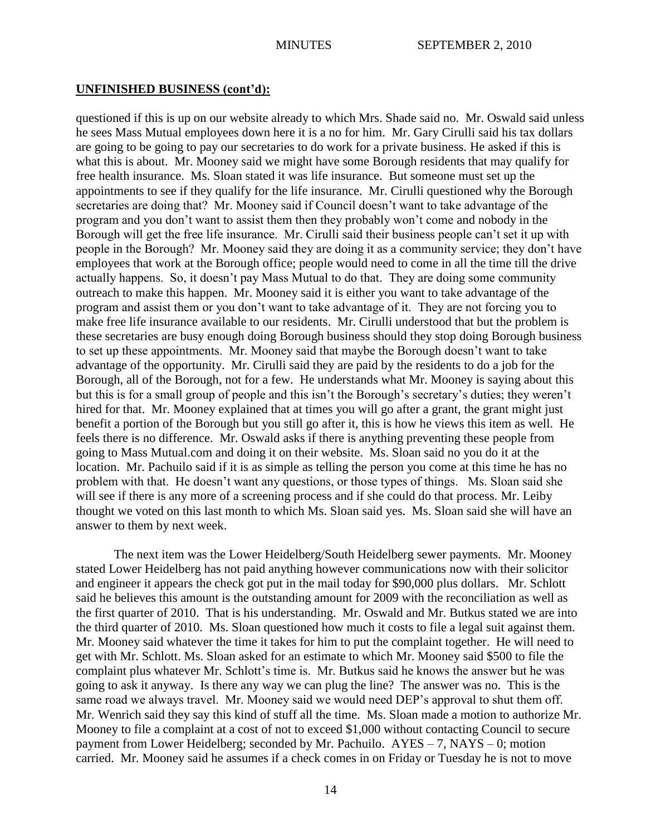## **UNFINISHED BUSINESS (cont'd):**

questioned if this is up on our website already to which Mrs. Shade said no. Mr. Oswald said unless he sees Mass Mutual employees down here it is a no for him. Mr. Gary Cirulli said his tax dollars are going to be going to pay our secretaries to do work for a private business. He asked if this is what this is about. Mr. Mooney said we might have some Borough residents that may qualify for free health insurance. Ms. Sloan stated it was life insurance. But someone must set up the appointments to see if they qualify for the life insurance. Mr. Cirulli questioned why the Borough secretaries are doing that? Mr. Mooney said if Council doesn't want to take advantage of the program and you don"t want to assist them then they probably won"t come and nobody in the Borough will get the free life insurance. Mr. Cirulli said their business people can"t set it up with people in the Borough? Mr. Mooney said they are doing it as a community service; they don"t have employees that work at the Borough office; people would need to come in all the time till the drive actually happens. So, it doesn"t pay Mass Mutual to do that. They are doing some community outreach to make this happen. Mr. Mooney said it is either you want to take advantage of the program and assist them or you don"t want to take advantage of it. They are not forcing you to make free life insurance available to our residents. Mr. Cirulli understood that but the problem is these secretaries are busy enough doing Borough business should they stop doing Borough business to set up these appointments. Mr. Mooney said that maybe the Borough doesn"t want to take advantage of the opportunity. Mr. Cirulli said they are paid by the residents to do a job for the Borough, all of the Borough, not for a few. He understands what Mr. Mooney is saying about this but this is for a small group of people and this isn't the Borough's secretary's duties; they weren't hired for that. Mr. Mooney explained that at times you will go after a grant, the grant might just benefit a portion of the Borough but you still go after it, this is how he views this item as well. He feels there is no difference. Mr. Oswald asks if there is anything preventing these people from going to Mass Mutual.com and doing it on their website. Ms. Sloan said no you do it at the location. Mr. Pachuilo said if it is as simple as telling the person you come at this time he has no problem with that. He doesn"t want any questions, or those types of things. Ms. Sloan said she will see if there is any more of a screening process and if she could do that process. Mr. Leiby thought we voted on this last month to which Ms. Sloan said yes. Ms. Sloan said she will have an answer to them by next week.

The next item was the Lower Heidelberg/South Heidelberg sewer payments. Mr. Mooney stated Lower Heidelberg has not paid anything however communications now with their solicitor and engineer it appears the check got put in the mail today for \$90,000 plus dollars. Mr. Schlott said he believes this amount is the outstanding amount for 2009 with the reconciliation as well as the first quarter of 2010. That is his understanding. Mr. Oswald and Mr. Butkus stated we are into the third quarter of 2010. Ms. Sloan questioned how much it costs to file a legal suit against them. Mr. Mooney said whatever the time it takes for him to put the complaint together. He will need to get with Mr. Schlott. Ms. Sloan asked for an estimate to which Mr. Mooney said \$500 to file the complaint plus whatever Mr. Schlott's time is. Mr. Butkus said he knows the answer but he was going to ask it anyway. Is there any way we can plug the line? The answer was no. This is the same road we always travel. Mr. Mooney said we would need DEP"s approval to shut them off. Mr. Wenrich said they say this kind of stuff all the time. Ms. Sloan made a motion to authorize Mr. Mooney to file a complaint at a cost of not to exceed \$1,000 without contacting Council to secure payment from Lower Heidelberg; seconded by Mr. Pachuilo. AYES – 7, NAYS – 0; motion carried. Mr. Mooney said he assumes if a check comes in on Friday or Tuesday he is not to move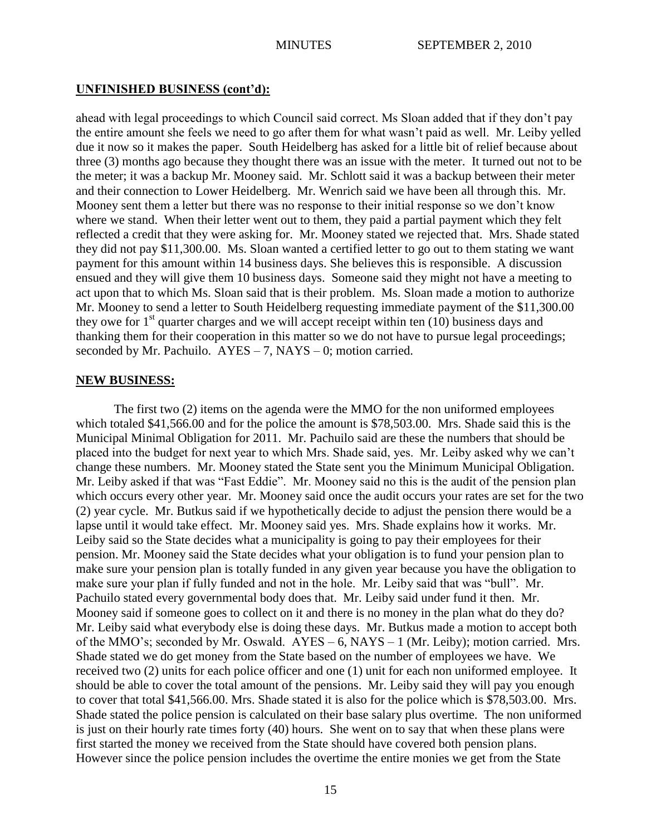# **UNFINISHED BUSINESS (cont'd):**

ahead with legal proceedings to which Council said correct. Ms Sloan added that if they don"t pay the entire amount she feels we need to go after them for what wasn"t paid as well. Mr. Leiby yelled due it now so it makes the paper. South Heidelberg has asked for a little bit of relief because about three (3) months ago because they thought there was an issue with the meter. It turned out not to be the meter; it was a backup Mr. Mooney said. Mr. Schlott said it was a backup between their meter and their connection to Lower Heidelberg. Mr. Wenrich said we have been all through this. Mr. Mooney sent them a letter but there was no response to their initial response so we don"t know where we stand. When their letter went out to them, they paid a partial payment which they felt reflected a credit that they were asking for. Mr. Mooney stated we rejected that. Mrs. Shade stated they did not pay \$11,300.00. Ms. Sloan wanted a certified letter to go out to them stating we want payment for this amount within 14 business days. She believes this is responsible. A discussion ensued and they will give them 10 business days. Someone said they might not have a meeting to act upon that to which Ms. Sloan said that is their problem. Ms. Sloan made a motion to authorize Mr. Mooney to send a letter to South Heidelberg requesting immediate payment of the \$11,300.00 they owe for  $1<sup>st</sup>$  quarter charges and we will accept receipt within ten (10) business days and thanking them for their cooperation in this matter so we do not have to pursue legal proceedings; seconded by Mr. Pachuilo.  $AYES - 7$ , NAYS – 0; motion carried.

## **NEW BUSINESS:**

The first two (2) items on the agenda were the MMO for the non uniformed employees which totaled \$41,566.00 and for the police the amount is \$78,503.00. Mrs. Shade said this is the Municipal Minimal Obligation for 2011. Mr. Pachuilo said are these the numbers that should be placed into the budget for next year to which Mrs. Shade said, yes. Mr. Leiby asked why we can"t change these numbers. Mr. Mooney stated the State sent you the Minimum Municipal Obligation. Mr. Leiby asked if that was "Fast Eddie". Mr. Mooney said no this is the audit of the pension plan which occurs every other year. Mr. Mooney said once the audit occurs your rates are set for the two (2) year cycle. Mr. Butkus said if we hypothetically decide to adjust the pension there would be a lapse until it would take effect. Mr. Mooney said yes. Mrs. Shade explains how it works. Mr. Leiby said so the State decides what a municipality is going to pay their employees for their pension. Mr. Mooney said the State decides what your obligation is to fund your pension plan to make sure your pension plan is totally funded in any given year because you have the obligation to make sure your plan if fully funded and not in the hole. Mr. Leiby said that was "bull". Mr. Pachuilo stated every governmental body does that. Mr. Leiby said under fund it then. Mr. Mooney said if someone goes to collect on it and there is no money in the plan what do they do? Mr. Leiby said what everybody else is doing these days. Mr. Butkus made a motion to accept both of the MMO"s; seconded by Mr. Oswald. AYES – 6, NAYS – 1 (Mr. Leiby); motion carried. Mrs. Shade stated we do get money from the State based on the number of employees we have. We received two (2) units for each police officer and one (1) unit for each non uniformed employee. It should be able to cover the total amount of the pensions. Mr. Leiby said they will pay you enough to cover that total \$41,566.00. Mrs. Shade stated it is also for the police which is \$78,503.00. Mrs. Shade stated the police pension is calculated on their base salary plus overtime. The non uniformed is just on their hourly rate times forty (40) hours. She went on to say that when these plans were first started the money we received from the State should have covered both pension plans. However since the police pension includes the overtime the entire monies we get from the State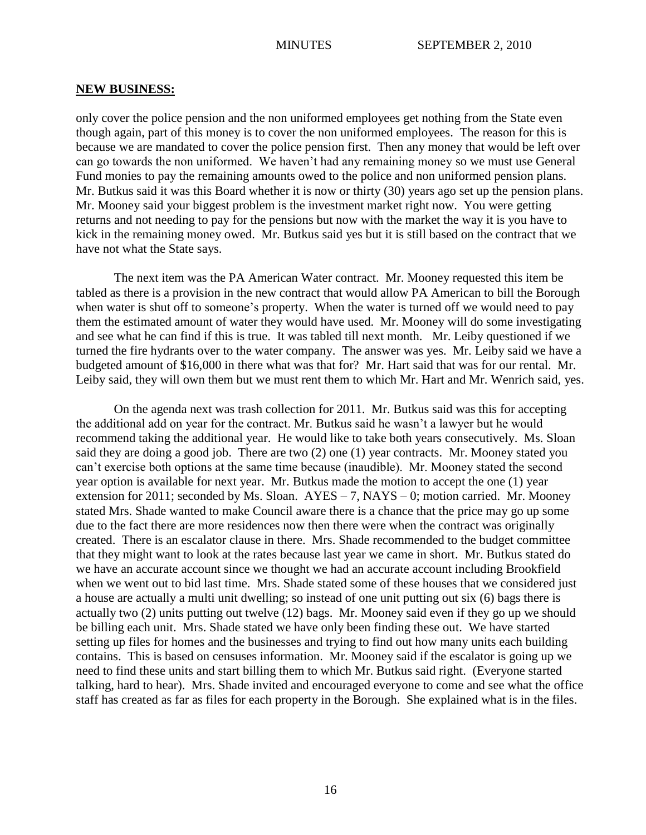#### **NEW BUSINESS:**

only cover the police pension and the non uniformed employees get nothing from the State even though again, part of this money is to cover the non uniformed employees. The reason for this is because we are mandated to cover the police pension first. Then any money that would be left over can go towards the non uniformed. We haven"t had any remaining money so we must use General Fund monies to pay the remaining amounts owed to the police and non uniformed pension plans. Mr. Butkus said it was this Board whether it is now or thirty (30) years ago set up the pension plans. Mr. Mooney said your biggest problem is the investment market right now. You were getting returns and not needing to pay for the pensions but now with the market the way it is you have to kick in the remaining money owed. Mr. Butkus said yes but it is still based on the contract that we have not what the State says.

The next item was the PA American Water contract. Mr. Mooney requested this item be tabled as there is a provision in the new contract that would allow PA American to bill the Borough when water is shut off to someone's property. When the water is turned off we would need to pay them the estimated amount of water they would have used. Mr. Mooney will do some investigating and see what he can find if this is true. It was tabled till next month. Mr. Leiby questioned if we turned the fire hydrants over to the water company. The answer was yes. Mr. Leiby said we have a budgeted amount of \$16,000 in there what was that for? Mr. Hart said that was for our rental. Mr. Leiby said, they will own them but we must rent them to which Mr. Hart and Mr. Wenrich said, yes.

On the agenda next was trash collection for 2011. Mr. Butkus said was this for accepting the additional add on year for the contract. Mr. Butkus said he wasn"t a lawyer but he would recommend taking the additional year. He would like to take both years consecutively. Ms. Sloan said they are doing a good job. There are two (2) one (1) year contracts. Mr. Mooney stated you can"t exercise both options at the same time because (inaudible). Mr. Mooney stated the second year option is available for next year. Mr. Butkus made the motion to accept the one (1) year extension for 2011; seconded by Ms. Sloan.  $AYES - 7$ ,  $NAYS - 0$ ; motion carried. Mr. Mooney stated Mrs. Shade wanted to make Council aware there is a chance that the price may go up some due to the fact there are more residences now then there were when the contract was originally created. There is an escalator clause in there. Mrs. Shade recommended to the budget committee that they might want to look at the rates because last year we came in short. Mr. Butkus stated do we have an accurate account since we thought we had an accurate account including Brookfield when we went out to bid last time. Mrs. Shade stated some of these houses that we considered just a house are actually a multi unit dwelling; so instead of one unit putting out six (6) bags there is actually two (2) units putting out twelve (12) bags. Mr. Mooney said even if they go up we should be billing each unit. Mrs. Shade stated we have only been finding these out. We have started setting up files for homes and the businesses and trying to find out how many units each building contains. This is based on censuses information. Mr. Mooney said if the escalator is going up we need to find these units and start billing them to which Mr. Butkus said right. (Everyone started talking, hard to hear). Mrs. Shade invited and encouraged everyone to come and see what the office staff has created as far as files for each property in the Borough. She explained what is in the files.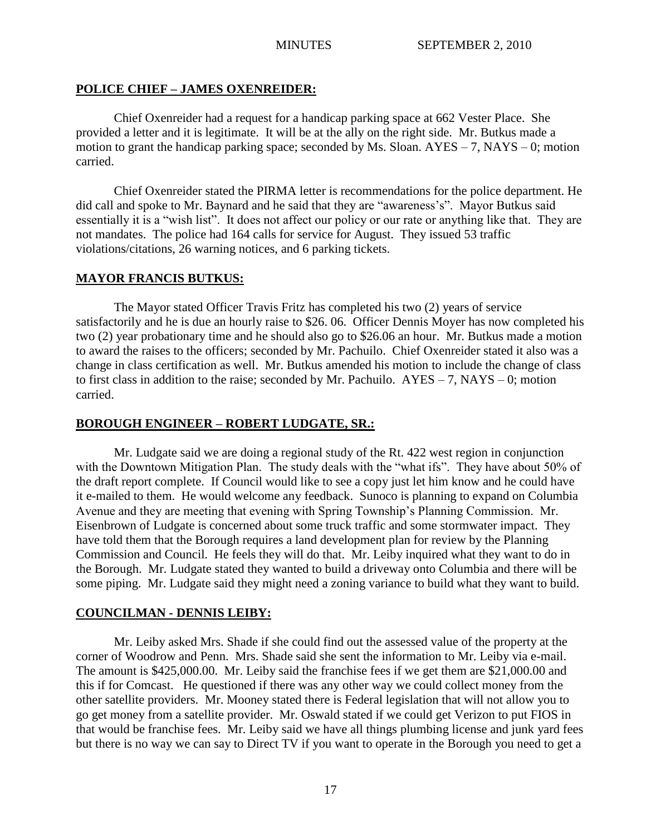# **POLICE CHIEF – JAMES OXENREIDER:**

Chief Oxenreider had a request for a handicap parking space at 662 Vester Place. She provided a letter and it is legitimate. It will be at the ally on the right side. Mr. Butkus made a motion to grant the handicap parking space; seconded by Ms. Sloan.  $AYES - 7$ ,  $NAYS - 0$ ; motion carried.

Chief Oxenreider stated the PIRMA letter is recommendations for the police department. He did call and spoke to Mr. Baynard and he said that they are "awareness's". Mayor Butkus said essentially it is a "wish list". It does not affect our policy or our rate or anything like that. They are not mandates. The police had 164 calls for service for August. They issued 53 traffic violations/citations, 26 warning notices, and 6 parking tickets.

# **MAYOR FRANCIS BUTKUS:**

The Mayor stated Officer Travis Fritz has completed his two (2) years of service satisfactorily and he is due an hourly raise to \$26. 06. Officer Dennis Moyer has now completed his two (2) year probationary time and he should also go to \$26.06 an hour. Mr. Butkus made a motion to award the raises to the officers; seconded by Mr. Pachuilo. Chief Oxenreider stated it also was a change in class certification as well. Mr. Butkus amended his motion to include the change of class to first class in addition to the raise; seconded by Mr. Pachuilo.  $AYES - 7$ ,  $NAYS - 0$ ; motion carried.

# **BOROUGH ENGINEER – ROBERT LUDGATE, SR.:**

Mr. Ludgate said we are doing a regional study of the Rt. 422 west region in conjunction with the Downtown Mitigation Plan. The study deals with the "what ifs". They have about 50% of the draft report complete. If Council would like to see a copy just let him know and he could have it e-mailed to them. He would welcome any feedback. Sunoco is planning to expand on Columbia Avenue and they are meeting that evening with Spring Township"s Planning Commission. Mr. Eisenbrown of Ludgate is concerned about some truck traffic and some stormwater impact. They have told them that the Borough requires a land development plan for review by the Planning Commission and Council. He feels they will do that. Mr. Leiby inquired what they want to do in the Borough. Mr. Ludgate stated they wanted to build a driveway onto Columbia and there will be some piping. Mr. Ludgate said they might need a zoning variance to build what they want to build.

# **COUNCILMAN - DENNIS LEIBY:**

Mr. Leiby asked Mrs. Shade if she could find out the assessed value of the property at the corner of Woodrow and Penn. Mrs. Shade said she sent the information to Mr. Leiby via e-mail. The amount is \$425,000.00. Mr. Leiby said the franchise fees if we get them are \$21,000.00 and this if for Comcast. He questioned if there was any other way we could collect money from the other satellite providers. Mr. Mooney stated there is Federal legislation that will not allow you to go get money from a satellite provider. Mr. Oswald stated if we could get Verizon to put FIOS in that would be franchise fees. Mr. Leiby said we have all things plumbing license and junk yard fees but there is no way we can say to Direct TV if you want to operate in the Borough you need to get a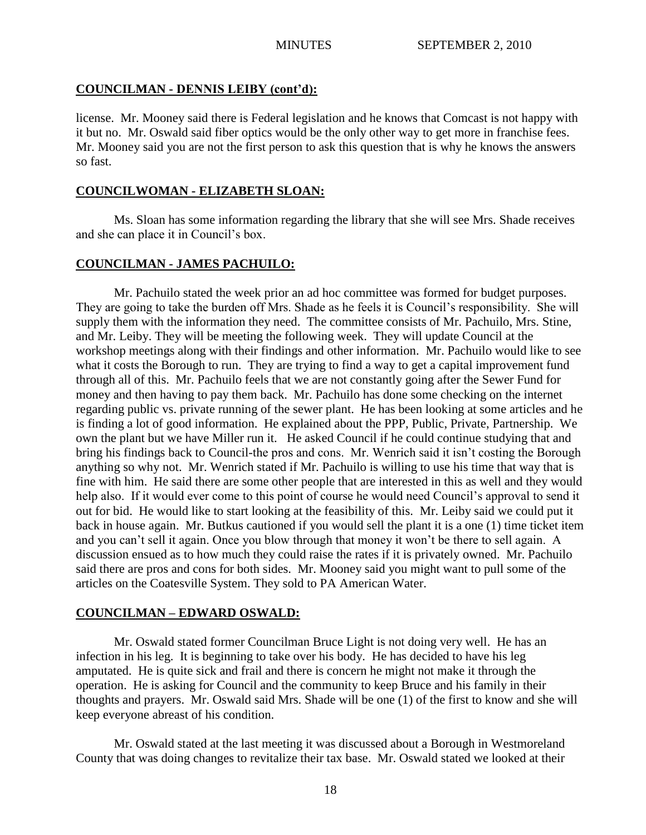# **COUNCILMAN - DENNIS LEIBY (cont'd):**

license. Mr. Mooney said there is Federal legislation and he knows that Comcast is not happy with it but no. Mr. Oswald said fiber optics would be the only other way to get more in franchise fees. Mr. Mooney said you are not the first person to ask this question that is why he knows the answers so fast.

# **COUNCILWOMAN - ELIZABETH SLOAN:**

Ms. Sloan has some information regarding the library that she will see Mrs. Shade receives and she can place it in Council"s box.

# **COUNCILMAN - JAMES PACHUILO:**

Mr. Pachuilo stated the week prior an ad hoc committee was formed for budget purposes. They are going to take the burden off Mrs. Shade as he feels it is Council's responsibility. She will supply them with the information they need. The committee consists of Mr. Pachuilo, Mrs. Stine, and Mr. Leiby. They will be meeting the following week. They will update Council at the workshop meetings along with their findings and other information. Mr. Pachuilo would like to see what it costs the Borough to run. They are trying to find a way to get a capital improvement fund through all of this. Mr. Pachuilo feels that we are not constantly going after the Sewer Fund for money and then having to pay them back. Mr. Pachuilo has done some checking on the internet regarding public vs. private running of the sewer plant. He has been looking at some articles and he is finding a lot of good information. He explained about the PPP, Public, Private, Partnership. We own the plant but we have Miller run it. He asked Council if he could continue studying that and bring his findings back to Council-the pros and cons. Mr. Wenrich said it isn"t costing the Borough anything so why not. Mr. Wenrich stated if Mr. Pachuilo is willing to use his time that way that is fine with him. He said there are some other people that are interested in this as well and they would help also. If it would ever come to this point of course he would need Council's approval to send it out for bid. He would like to start looking at the feasibility of this. Mr. Leiby said we could put it back in house again. Mr. Butkus cautioned if you would sell the plant it is a one (1) time ticket item and you can"t sell it again. Once you blow through that money it won"t be there to sell again. A discussion ensued as to how much they could raise the rates if it is privately owned. Mr. Pachuilo said there are pros and cons for both sides. Mr. Mooney said you might want to pull some of the articles on the Coatesville System. They sold to PA American Water.

# **COUNCILMAN – EDWARD OSWALD:**

Mr. Oswald stated former Councilman Bruce Light is not doing very well. He has an infection in his leg. It is beginning to take over his body. He has decided to have his leg amputated. He is quite sick and frail and there is concern he might not make it through the operation. He is asking for Council and the community to keep Bruce and his family in their thoughts and prayers. Mr. Oswald said Mrs. Shade will be one (1) of the first to know and she will keep everyone abreast of his condition.

Mr. Oswald stated at the last meeting it was discussed about a Borough in Westmoreland County that was doing changes to revitalize their tax base. Mr. Oswald stated we looked at their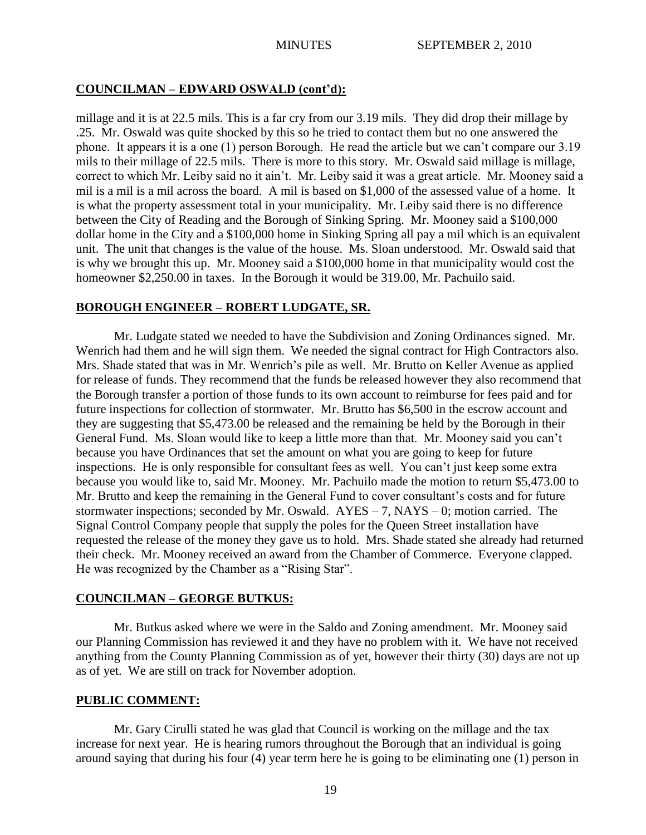# **COUNCILMAN – EDWARD OSWALD (cont'd):**

millage and it is at 22.5 mils. This is a far cry from our 3.19 mils. They did drop their millage by .25. Mr. Oswald was quite shocked by this so he tried to contact them but no one answered the phone. It appears it is a one (1) person Borough. He read the article but we can"t compare our 3.19 mils to their millage of 22.5 mils. There is more to this story. Mr. Oswald said millage is millage, correct to which Mr. Leiby said no it ain"t. Mr. Leiby said it was a great article. Mr. Mooney said a mil is a mil is a mil across the board. A mil is based on \$1,000 of the assessed value of a home. It is what the property assessment total in your municipality. Mr. Leiby said there is no difference between the City of Reading and the Borough of Sinking Spring. Mr. Mooney said a \$100,000 dollar home in the City and a \$100,000 home in Sinking Spring all pay a mil which is an equivalent unit. The unit that changes is the value of the house. Ms. Sloan understood. Mr. Oswald said that is why we brought this up. Mr. Mooney said a \$100,000 home in that municipality would cost the homeowner \$2,250.00 in taxes. In the Borough it would be 319.00, Mr. Pachuilo said.

# **BOROUGH ENGINEER – ROBERT LUDGATE, SR.**

Mr. Ludgate stated we needed to have the Subdivision and Zoning Ordinances signed. Mr. Wenrich had them and he will sign them. We needed the signal contract for High Contractors also. Mrs. Shade stated that was in Mr. Wenrich"s pile as well. Mr. Brutto on Keller Avenue as applied for release of funds. They recommend that the funds be released however they also recommend that the Borough transfer a portion of those funds to its own account to reimburse for fees paid and for future inspections for collection of stormwater. Mr. Brutto has \$6,500 in the escrow account and they are suggesting that \$5,473.00 be released and the remaining be held by the Borough in their General Fund. Ms. Sloan would like to keep a little more than that. Mr. Mooney said you can"t because you have Ordinances that set the amount on what you are going to keep for future inspections. He is only responsible for consultant fees as well. You can't just keep some extra because you would like to, said Mr. Mooney. Mr. Pachuilo made the motion to return \$5,473.00 to Mr. Brutto and keep the remaining in the General Fund to cover consultant's costs and for future stormwater inspections; seconded by Mr. Oswald. AYES – 7, NAYS – 0; motion carried. The Signal Control Company people that supply the poles for the Queen Street installation have requested the release of the money they gave us to hold. Mrs. Shade stated she already had returned their check. Mr. Mooney received an award from the Chamber of Commerce. Everyone clapped. He was recognized by the Chamber as a "Rising Star".

# **COUNCILMAN – GEORGE BUTKUS:**

Mr. Butkus asked where we were in the Saldo and Zoning amendment. Mr. Mooney said our Planning Commission has reviewed it and they have no problem with it. We have not received anything from the County Planning Commission as of yet, however their thirty (30) days are not up as of yet. We are still on track for November adoption.

## **PUBLIC COMMENT:**

Mr. Gary Cirulli stated he was glad that Council is working on the millage and the tax increase for next year. He is hearing rumors throughout the Borough that an individual is going around saying that during his four (4) year term here he is going to be eliminating one (1) person in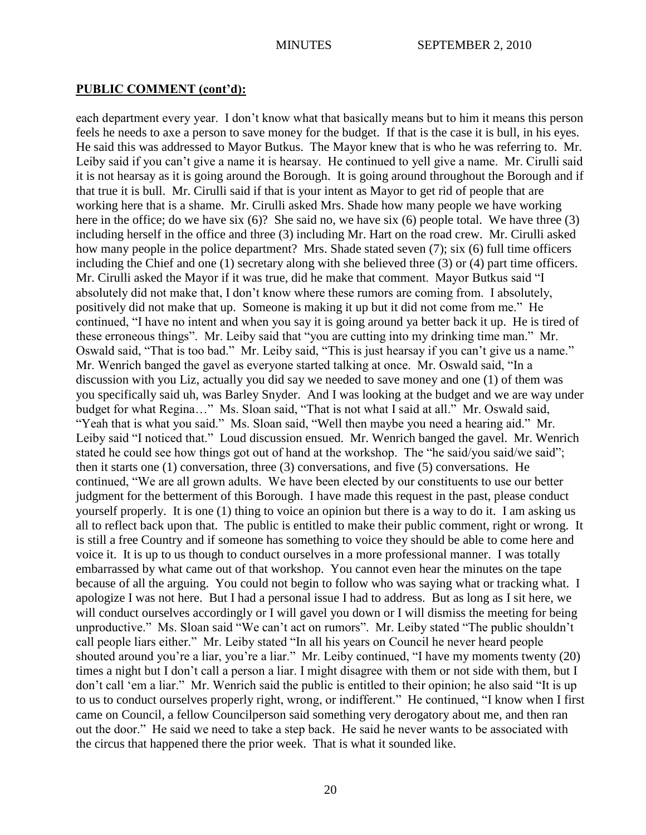# **PUBLIC COMMENT (cont'd):**

each department every year. I don"t know what that basically means but to him it means this person feels he needs to axe a person to save money for the budget. If that is the case it is bull, in his eyes. He said this was addressed to Mayor Butkus. The Mayor knew that is who he was referring to. Mr. Leiby said if you can't give a name it is hearsay. He continued to yell give a name. Mr. Cirulli said it is not hearsay as it is going around the Borough. It is going around throughout the Borough and if that true it is bull. Mr. Cirulli said if that is your intent as Mayor to get rid of people that are working here that is a shame. Mr. Cirulli asked Mrs. Shade how many people we have working here in the office; do we have six (6)? She said no, we have six (6) people total. We have three (3) including herself in the office and three (3) including Mr. Hart on the road crew. Mr. Cirulli asked how many people in the police department? Mrs. Shade stated seven (7); six (6) full time officers including the Chief and one (1) secretary along with she believed three (3) or (4) part time officers. Mr. Cirulli asked the Mayor if it was true, did he make that comment. Mayor Butkus said "I absolutely did not make that, I don"t know where these rumors are coming from. I absolutely, positively did not make that up. Someone is making it up but it did not come from me." He continued, "I have no intent and when you say it is going around ya better back it up. He is tired of these erroneous things". Mr. Leiby said that "you are cutting into my drinking time man." Mr. Oswald said, "That is too bad." Mr. Leiby said, "This is just hearsay if you can"t give us a name." Mr. Wenrich banged the gavel as everyone started talking at once. Mr. Oswald said, "In a discussion with you Liz, actually you did say we needed to save money and one (1) of them was you specifically said uh, was Barley Snyder. And I was looking at the budget and we are way under budget for what Regina…" Ms. Sloan said, "That is not what I said at all." Mr. Oswald said, "Yeah that is what you said." Ms. Sloan said, "Well then maybe you need a hearing aid." Mr. Leiby said "I noticed that." Loud discussion ensued. Mr. Wenrich banged the gavel. Mr. Wenrich stated he could see how things got out of hand at the workshop. The "he said/you said/we said"; then it starts one (1) conversation, three (3) conversations, and five (5) conversations. He continued, "We are all grown adults. We have been elected by our constituents to use our better judgment for the betterment of this Borough. I have made this request in the past, please conduct yourself properly. It is one (1) thing to voice an opinion but there is a way to do it. I am asking us all to reflect back upon that. The public is entitled to make their public comment, right or wrong. It is still a free Country and if someone has something to voice they should be able to come here and voice it. It is up to us though to conduct ourselves in a more professional manner. I was totally embarrassed by what came out of that workshop. You cannot even hear the minutes on the tape because of all the arguing. You could not begin to follow who was saying what or tracking what. I apologize I was not here. But I had a personal issue I had to address. But as long as I sit here, we will conduct ourselves accordingly or I will gavel you down or I will dismiss the meeting for being unproductive." Ms. Sloan said "We can"t act on rumors". Mr. Leiby stated "The public shouldn"t call people liars either." Mr. Leiby stated "In all his years on Council he never heard people shouted around you're a liar, you're a liar." Mr. Leiby continued, "I have my moments twenty (20) times a night but I don"t call a person a liar. I might disagree with them or not side with them, but I don"t call "em a liar." Mr. Wenrich said the public is entitled to their opinion; he also said "It is up to us to conduct ourselves properly right, wrong, or indifferent." He continued, "I know when I first came on Council, a fellow Councilperson said something very derogatory about me, and then ran out the door." He said we need to take a step back. He said he never wants to be associated with the circus that happened there the prior week. That is what it sounded like.